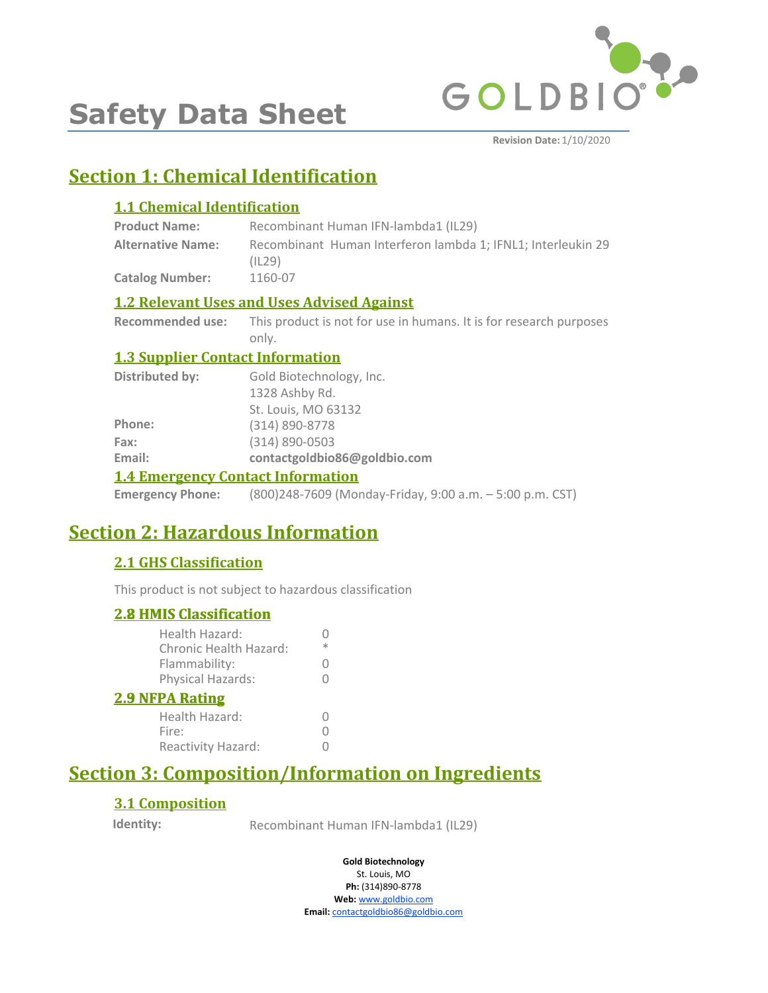

# **Safety Data Sheet**

**Revision Date:** 1/10/2020

## **Section 1: Chemical Identification**

#### **1.1 Chemical Identification**

| <b>Product Name:</b>     | Recombinant Human IFN-lambda1 (IL29)                                   |
|--------------------------|------------------------------------------------------------------------|
| <b>Alternative Name:</b> | Recombinant Human Interferon lambda 1: IFNL1: Interleukin 29<br>(IL29) |
| <b>Catalog Number:</b>   | 1160-07                                                                |

#### **1.2 Relevant Uses and Uses Advised Against**

**Recommended use:** This product is not for use in humans. It is for research purposes only.

#### **1.3 Supplier Contact Information**

| 1.4 Expansion on Compatible Information |                              |  |
|-----------------------------------------|------------------------------|--|
| Email:                                  | contactgoldbio86@goldbio.com |  |
| Fax:                                    | (314) 890-0503               |  |
| Phone:                                  | (314) 890-8778               |  |
|                                         | St. Louis, MO 63132          |  |
|                                         | 1328 Ashby Rd.               |  |
| <b>Distributed by:</b>                  | Gold Biotechnology, Inc.     |  |

#### **1.4 Emergency Contact Information**

**Emergency Phone:** (800)248-7609 (Monday-Friday, 9:00 a.m. – 5:00 p.m. CST)

### **Section 2: Hazardous Information**

### **2.1 GHS Classification**

This product is not subject to hazardous classification

| <b>2.8 HMIS Classification</b>           |                  |
|------------------------------------------|------------------|
| Health Hazard:<br>Chronic Health Hazard: | ж                |
| Flammability:                            |                  |
| Physical Hazards:                        | $\left( \right)$ |
| <b>2.9 NFPA Rating</b>                   |                  |
| Health Hazard:                           |                  |
| Fire:                                    |                  |
| Reactivity Hazard:                       |                  |

### **Section 3: Composition/Information on Ingredients**

### **3.1 Composition**

**Identity:** Recombinant Human IFN-lambda1 (IL29)

**Gold Biotechnology**

St. Louis, MO **Ph:** (314)890-8778 **Web:** www.goldbio.com **Email:** contactgoldbio86@goldbio.com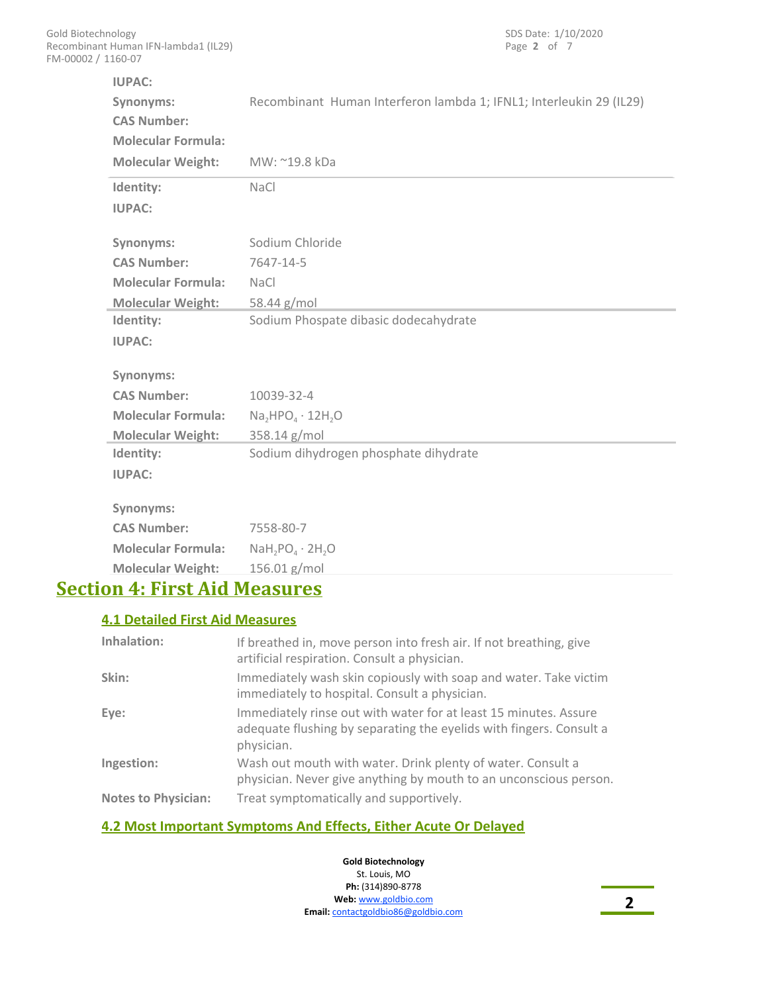| <b>IUPAC:</b><br>Synonyms:<br><b>CAS Number:</b><br><b>Molecular Formula:</b> | Recombinant Human Interferon lambda 1; IFNL1; Interleukin 29 (IL29) |
|-------------------------------------------------------------------------------|---------------------------------------------------------------------|
| <b>Molecular Weight:</b>                                                      | MW: ~19.8 kDa                                                       |
| Identity:                                                                     | <b>NaCl</b>                                                         |
| <b>IUPAC:</b>                                                                 |                                                                     |
| Synonyms:                                                                     | Sodium Chloride                                                     |
| <b>CAS Number:</b>                                                            | 7647-14-5                                                           |
| <b>Molecular Formula:</b>                                                     | <b>NaCl</b>                                                         |
| <b>Molecular Weight:</b>                                                      | 58.44 g/mol                                                         |
| Identity:                                                                     | Sodium Phospate dibasic dodecahydrate                               |
| <b>IUPAC:</b>                                                                 |                                                                     |
| Synonyms:                                                                     |                                                                     |
| <b>CAS Number:</b>                                                            | 10039-32-4                                                          |
| <b>Molecular Formula:</b>                                                     | $Na, HPO4 \cdot 12H, O$                                             |
| <b>Molecular Weight:</b>                                                      | 358.14 g/mol                                                        |
| Identity:                                                                     | Sodium dihydrogen phosphate dihydrate                               |
| <b>IUPAC:</b>                                                                 |                                                                     |
| Synonyms:                                                                     |                                                                     |
| <b>CAS Number:</b>                                                            | 7558-80-7                                                           |
| <b>Molecular Formula:</b>                                                     | $N$ aH <sub>2</sub> PO <sub>4</sub> · 2H <sub>2</sub> O             |
| <b>Molecular Weight:</b>                                                      | 156.01 g/mol                                                        |

### **Section 4: First Aid Measures**

#### **4.1 Detailed First Aid Measures**

| Inhalation:                | If breathed in, move person into fresh air. If not breathing, give<br>artificial respiration. Consult a physician.                                    |
|----------------------------|-------------------------------------------------------------------------------------------------------------------------------------------------------|
| Skin:                      | Immediately wash skin copiously with soap and water. Take victim<br>immediately to hospital. Consult a physician.                                     |
| Eye:                       | Immediately rinse out with water for at least 15 minutes. Assure<br>adequate flushing by separating the eyelids with fingers. Consult a<br>physician. |
| Ingestion:                 | Wash out mouth with water. Drink plenty of water. Consult a<br>physician. Never give anything by mouth to an unconscious person.                      |
| <b>Notes to Physician:</b> | Treat symptomatically and supportively.                                                                                                               |

#### **4.2 Most Important Symptoms And Effects, Either Acute Or Delayed**

**Gold Biotechnology** St. Louis, MO **Ph:** (314)890-8778 **Web:** www.goldbio.com **Email:** contactgoldbio86@goldbio.com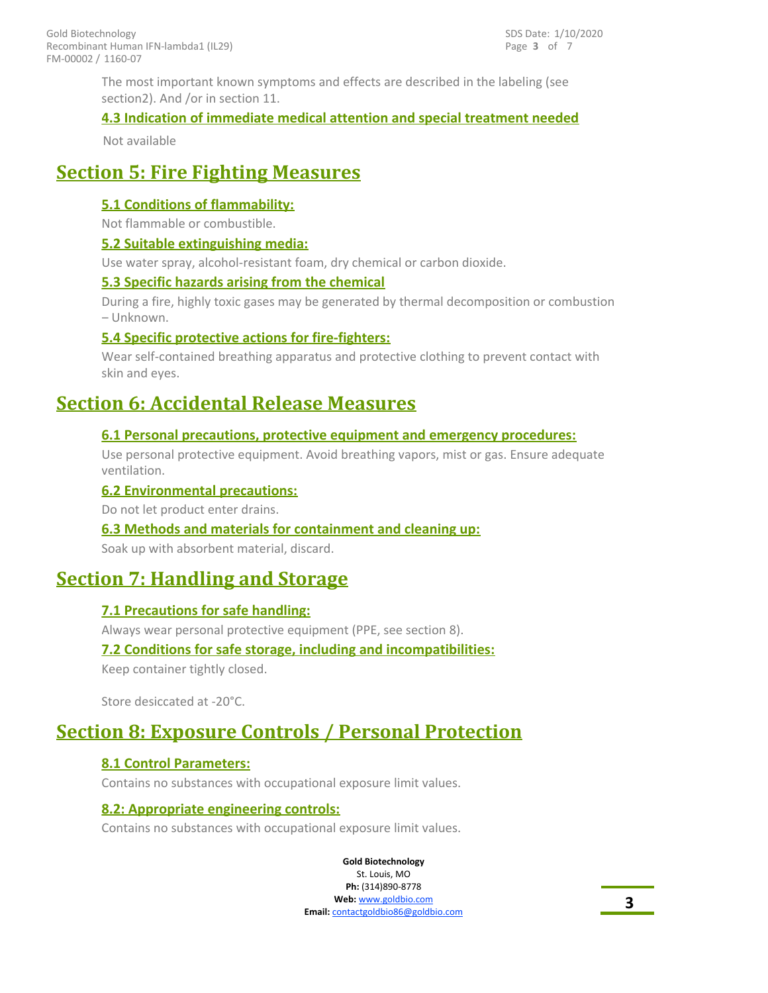The most important known symptoms and effects are described in the labeling (see section2). And /or in section 11.

#### **4.3 Indication of immediate medical attention and special treatment needed**

Not available

### **Section 5: Fire Fighting Measures**

#### **5.1 Conditions of flammability:**

Not flammable or combustible.

#### **5.2 Suitable extinguishing media:**

Use water spray, alcohol-resistant foam, dry chemical or carbon dioxide.

#### **5.3 Specific hazards arising from the chemical**

During a fire, highly toxic gases may be generated by thermal decomposition or combustion – Unknown.

#### **5.4 Specific protective actions for fire-fighters:**

Wear self-contained breathing apparatus and protective clothing to prevent contact with skin and eyes.

### **Section 6: Accidental Release Measures**

#### **6.1 Personal precautions, protective equipment and emergency procedures:**

Use personal protective equipment. Avoid breathing vapors, mist or gas. Ensure adequate ventilation.

#### **6.2 Environmental precautions:**

Do not let product enter drains.

#### **6.3 Methods and materials for containment and cleaning up:**

Soak up with absorbent material, discard.

### **Section 7: Handling and Storage**

#### **7.1 Precautions for safe handling:**

Always wear personal protective equipment (PPE, see section 8).

#### **7.2 Conditions for safe storage, including and incompatibilities:** Keep container tightly closed.

Store desiccated at -20°C.

### **Section 8: Exposure Controls / Personal Protection**

#### **8.1 Control Parameters:**

Contains no substances with occupational exposure limit values.

#### **8.2: Appropriate engineering controls:**

Contains no substances with occupational exposure limit values.

**Gold Biotechnology** St. Louis, MO

**Ph:** (314)890-8778 **Web:** www.goldbio.com **Email:** contactgoldbio86@goldbio.com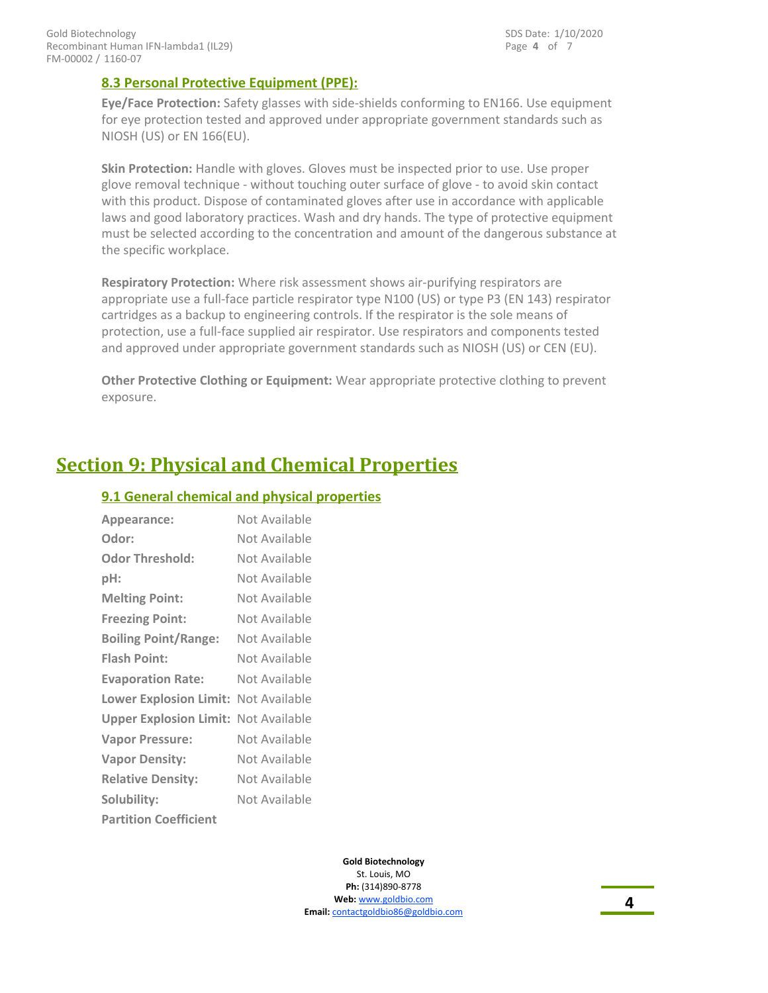#### **8.3 Personal Protective Equipment (PPE):**

**Eye/Face Protection:** Safety glasses with side-shields conforming to EN166. Use equipment for eye protection tested and approved under appropriate government standards such as NIOSH (US) or EN 166(EU).

**Skin Protection:** Handle with gloves. Gloves must be inspected prior to use. Use proper glove removal technique - without touching outer surface of glove - to avoid skin contact with this product. Dispose of contaminated gloves after use in accordance with applicable laws and good laboratory practices. Wash and dry hands. The type of protective equipment must be selected according to the concentration and amount of the dangerous substance at the specific workplace.

**Respiratory Protection:** Where risk assessment shows air-purifying respirators are appropriate use a full-face particle respirator type N100 (US) or type P3 (EN 143) respirator cartridges as a backup to engineering controls. If the respirator is the sole means of protection, use a full-face supplied air respirator. Use respirators and components tested and approved under appropriate government standards such as NIOSH (US) or CEN (EU).

**Other Protective Clothing or Equipment:** Wear appropriate protective clothing to prevent exposure.

### **Section 9: Physical and Chemical Properties**

#### **9.1 General chemical and physical properties**

| Appearance:                   | Not Available |
|-------------------------------|---------------|
| Odor:                         | Not Available |
| <b>Odor Threshold:</b>        | Not Available |
| pH:                           | Not Available |
| <b>Melting Point:</b>         | Not Available |
| <b>Freezing Point:</b>        | Not Available |
| <b>Boiling Point/Range:</b>   | Not Available |
| <b>Flash Point:</b>           | Not Available |
| <b>Evaporation Rate:</b>      | Not Available |
| <b>Lower Explosion Limit:</b> | Not Available |
| <b>Upper Explosion Limit:</b> | Not Available |
| <b>Vapor Pressure:</b>        | Not Available |
| <b>Vapor Density:</b>         | Not Available |
| <b>Relative Density:</b>      | Not Available |
| Solubility:                   | Not Available |
| <b>Partition Coefficient</b>  |               |

**Gold Biotechnology** St. Louis, MO **Ph:** (314)890-8778 **Web:** www.goldbio.com **Email:** contactgoldbio86@goldbio.com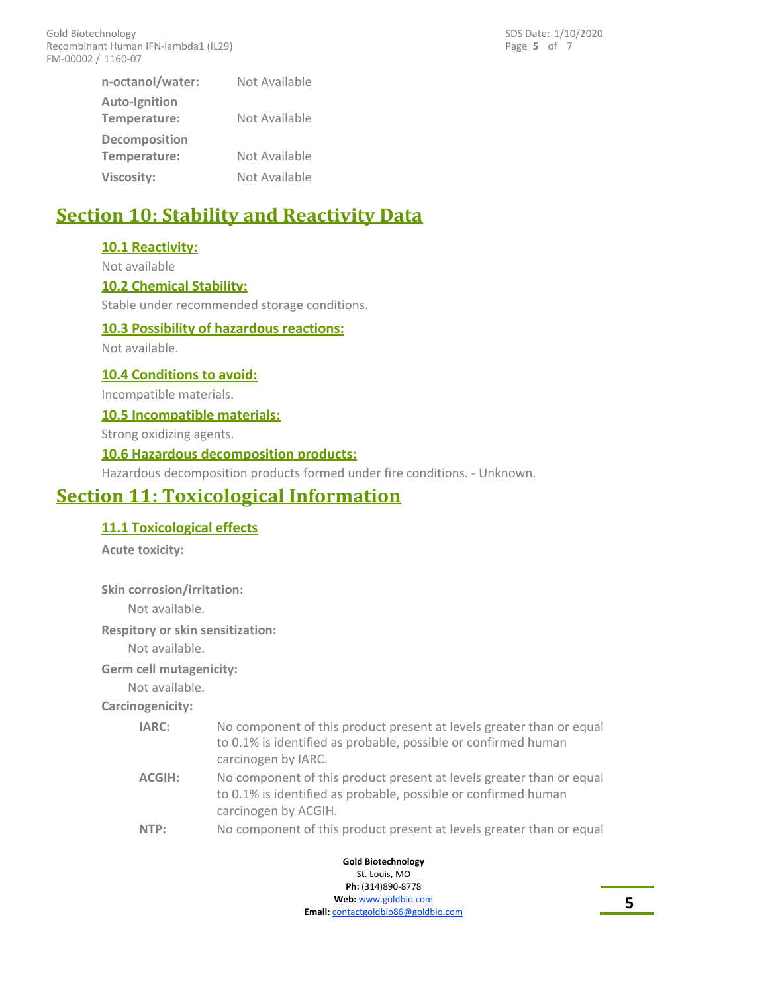Page **5** of 7 SDS Date: 1/10/2020

| n-octanol/water:                     | Not Available |
|--------------------------------------|---------------|
| <b>Auto-Ignition</b><br>Temperature: | Not Available |
| <b>Decomposition</b><br>Temperature: | Not Available |
| Viscosity:                           | Not Available |

### **Section 10: Stability and Reactivity Data**

#### **10.1 Reactivity:**

Not available

#### **10.2 Chemical Stability:**

Stable under recommended storage conditions.

#### **10.3 Possibility of hazardous reactions:**

Not available.

**10.4 Conditions to avoid:** Incompatible materials.

#### **10.5 Incompatible materials:**

Strong oxidizing agents.

#### **10.6 Hazardous decomposition products:**

Hazardous decomposition products formed under fire conditions. - Unknown.

### **Section 11: Toxicological Information**

#### **11.1 Toxicological effects**

**Acute toxicity:**

**Skin corrosion/irritation:** Not available.

**Respitory or skin sensitization:**

Not available.

#### **Germ cell mutagenicity:**

Not available.

#### **Carcinogenicity:**

| IARC:  | No component of this product present at levels greater than or equal<br>to 0.1% is identified as probable, possible or confirmed human<br>carcinogen by IARC.  |
|--------|----------------------------------------------------------------------------------------------------------------------------------------------------------------|
| ACGIH: | No component of this product present at levels greater than or equal<br>to 0.1% is identified as probable, possible or confirmed human<br>carcinogen by ACGIH. |

**NTP:** No component of this product present at levels greater than or equal

**Gold Biotechnology** St. Louis, MO **Ph:** (314)890-8778 **Web:** www.goldbio.com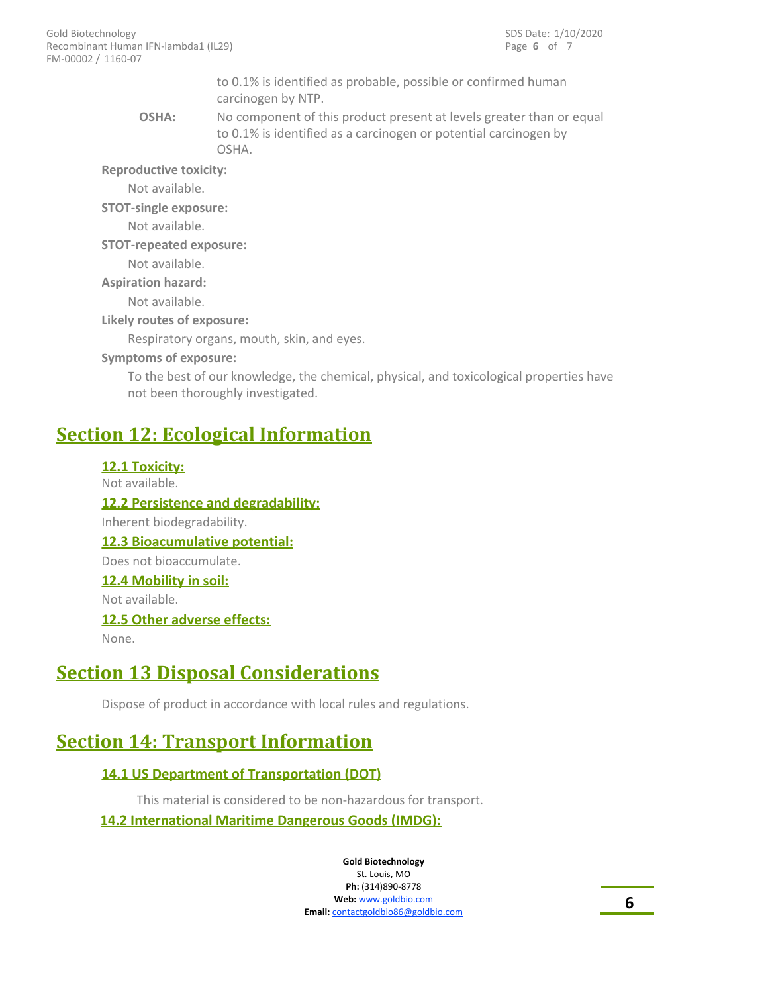to 0.1% is identified as probable, possible or confirmed human carcinogen by NTP.

No component of this product present at levels greater than or equal to 0.1% is identified as a carcinogen or potential carcinogen by OSHA. **OSHA:**

**Reproductive toxicity:**

Not available.

**STOT-single exposure:**

Not available.

**STOT-repeated exposure:**

Not available.

**Aspiration hazard:**

Not available.

**Likely routes of exposure:**

Respiratory organs, mouth, skin, and eyes.

#### **Symptoms of exposure:**

To the best of our knowledge, the chemical, physical, and toxicological properties have not been thoroughly investigated.

### **Section 12: Ecological Information**

**12.1 Toxicity:** Not available.

**12.2 Persistence and degradability:** Inherent biodegradability. **12.3 Bioacumulative potential:** Does not bioaccumulate. **12.4 Mobility in soil:** Not available.

**12.5 Other adverse effects:**

None.

### **Section 13 Disposal Considerations**

Dispose of product in accordance with local rules and regulations.

### **Section 14: Transport Information**

#### **14.1 US Department of Transportation (DOT)**

This material is considered to be non-hazardous for transport.

#### **14.2 International Maritime Dangerous Goods (IMDG):**

**Gold Biotechnology** St. Louis, MO

**Ph:** (314)890-8778 **Web:** www.goldbio.com **Email:** contactgoldbio86@goldbio.com